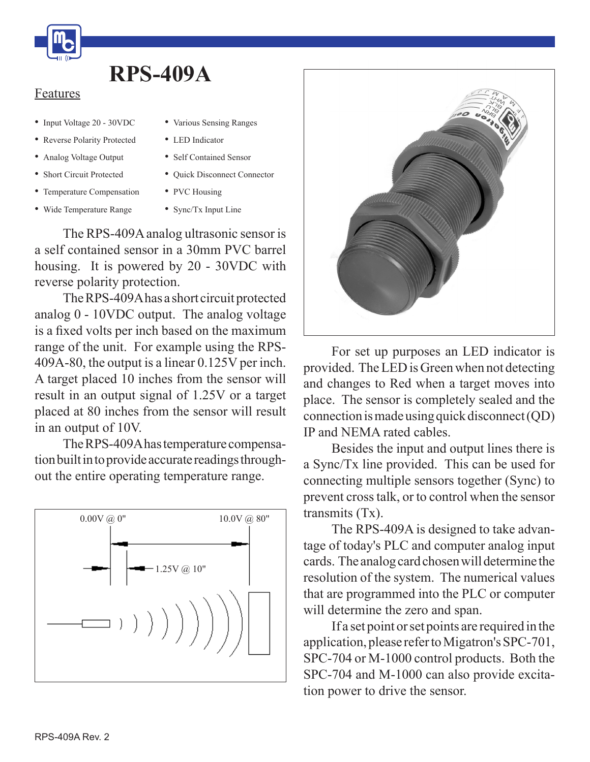

## **RPS-409A**

## Features

- Input Voltage 20 30VDC
- Reverse Polarity Protected
- Analog Voltage Output
- Short Circuit Protected
- Temperature Compensation • Wide Temperature Range
- Self Contained Sensor

• LED Indicator

• Various Sensing Ranges

- Ouick Disconnect Connector
- PVC Housing
- Sync/Tx Input Line

 The RPS-409Aanalog ultrasonic sensor is a self contained sensor in a 30mm PVC barrel housing. It is powered by 20 - 30VDC with reverse polarity protection.

The RPS-409A has a short circuit protected analog 0 - 10VDC output. The analog voltage is a fixed volts per inch based on the maximum range of the unit. For example using the RPS-409A-80, the output is a linear 0.125V per inch. A target placed 10 inches from the sensor will result in an output signal of 1.25V or a target placed at 80 inches from the sensor will result in an output of 10V.

 TheRPS-409Ahastemperature compensation built in to provide accurate readings throughout the entire operating temperature range.





 For set up purposes an LED indicator is provided. TheLEDisGreenwhen not detecting and changes to Red when a target moves into place. The sensor is completely sealed and the  $connection$  is made using quick disconnect (QD) IP and NEMA rated cables.

 Besides the input and output lines there is a Sync/Tx line provided. This can be used for connecting multiple sensors together (Sync) to prevent crosstalk, or to control when the sensor transmits (Tx).

 The RPS-409A is designed to take advantage of today's PLC and computer analog input cards. The analog card chosen will determine the resolution of the system. The numerical values that are programmed into the PLC or computer will determine the zero and span.

 If a set point orset points are required in the application, please refer to Migatron's SPC-701, SPC-704 or M-1000 control products. Both the SPC-704 and M-1000 can also provide excitation power to drive the sensor.